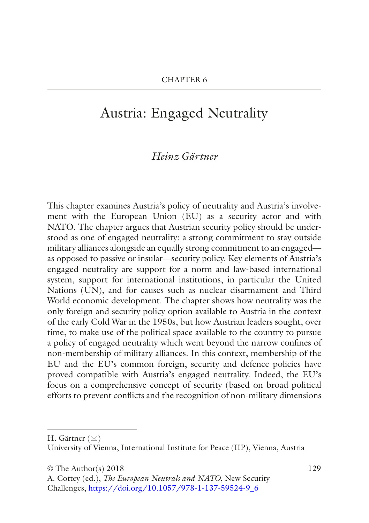# Austria: Engaged Neutrality

#### *Heinz Gärtner*

This chapter examines Austria's policy of neutrality and Austria's involvement with the European Union (EU) as a security actor and with NATO. The chapter argues that Austrian security policy should be understood as one of engaged neutrality: a strong commitment to stay outside military alliances alongside an equally strong commitment to an engaged as opposed to passive or insular—security policy. Key elements of Austria's engaged neutrality are support for a norm and law-based international system, support for international institutions, in particular the United Nations (UN), and for causes such as nuclear disarmament and Third World economic development. The chapter shows how neutrality was the only foreign and security policy option available to Austria in the context of the early Cold War in the 1950s, but how Austrian leaders sought, over time, to make use of the political space available to the country to pursue a policy of engaged neutrality which went beyond the narrow confines of non-membership of military alliances. In this context, membership of the EU and the EU's common foreign, security and defence policies have proved compatible with Austria's engaged neutrality. Indeed, the EU's focus on a comprehensive concept of security (based on broad political efforts to prevent conflicts and the recognition of non-military dimensions

H. Gärtner  $(\boxtimes)$ 

University of Vienna, International Institute for Peace (IIP), Vienna, Austria

 $\degree$  The Author(s) 2018 129

A. Cottey (ed.), *The European Neutrals and NATO*, New Security Challenges, [https://doi.org/10.1057/978-1-137-59524-9\\_6](https://doi.org/10.1057/978-1-137-59524-9_6)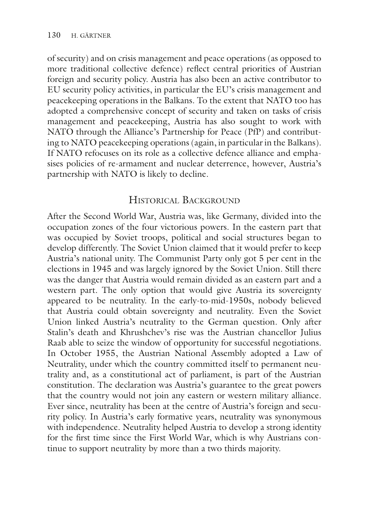of security) and on crisis management and peace operations (as opposed to more traditional collective defence) reflect central priorities of Austrian foreign and security policy. Austria has also been an active contributor to EU security policy activities, in particular the EU's crisis management and peacekeeping operations in the Balkans. To the extent that NATO too has adopted a comprehensive concept of security and taken on tasks of crisis management and peacekeeping, Austria has also sought to work with NATO through the Alliance's Partnership for Peace (PfP) and contributing to NATO peacekeeping operations (again, in particular in the Balkans). If NATO refocuses on its role as a collective defence alliance and emphasises policies of re-armament and nuclear deterrence, however, Austria's partnership with NATO is likely to decline.

### Historical Background

After the Second World War, Austria was, like Germany, divided into the occupation zones of the four victorious powers. In the eastern part that was occupied by Soviet troops, political and social structures began to develop differently. The Soviet Union claimed that it would prefer to keep Austria's national unity. The Communist Party only got 5 per cent in the elections in 1945 and was largely ignored by the Soviet Union. Still there was the danger that Austria would remain divided as an eastern part and a western part. The only option that would give Austria its sovereignty appeared to be neutrality. In the early-to-mid-1950s, nobody believed that Austria could obtain sovereignty and neutrality. Even the Soviet Union linked Austria's neutrality to the German question. Only after Stalin's death and Khrushchev's rise was the Austrian chancellor Julius Raab able to seize the window of opportunity for successful negotiations. In October 1955, the Austrian National Assembly adopted a Law of Neutrality, under which the country committed itself to permanent neutrality and, as a constitutional act of parliament, is part of the Austrian constitution. The declaration was Austria's guarantee to the great powers that the country would not join any eastern or western military alliance. Ever since, neutrality has been at the centre of Austria's foreign and security policy. In Austria's early formative years, neutrality was synonymous with independence. Neutrality helped Austria to develop a strong identity for the first time since the First World War, which is why Austrians continue to support neutrality by more than a two thirds majority.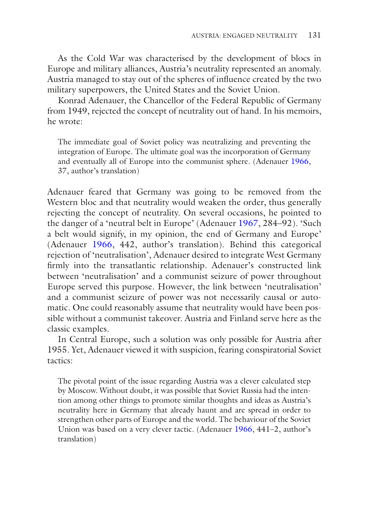As the Cold War was characterised by the development of blocs in Europe and military alliances, Austria's neutrality represented an anomaly. Austria managed to stay out of the spheres of influence created by the two military superpowers, the United States and the Soviet Union.

Konrad Adenauer, the Chancellor of the Federal Republic of Germany from 1949, rejected the concept of neutrality out of hand. In his memoirs, he wrote:

The immediate goal of Soviet policy was neutralizing and preventing the integration of Europe. The ultimate goal was the incorporation of Germany and eventually all of Europe into the communist sphere. (Adenauer [1966](#page-20-0), 37, author's translation)

Adenauer feared that Germany was going to be removed from the Western bloc and that neutrality would weaken the order, thus generally rejecting the concept of neutrality. On several occasions, he pointed to the danger of a 'neutral belt in Europe' (Adenauer [1967,](#page-20-1) 284–92). 'Such a belt would signify, in my opinion, the end of Germany and Europe' (Adenauer [1966,](#page-20-0) 442, author's translation). Behind this categorical rejection of 'neutralisation', Adenauer desired to integrate West Germany firmly into the transatlantic relationship. Adenauer's constructed link between 'neutralisation' and a communist seizure of power throughout Europe served this purpose. However, the link between 'neutralisation' and a communist seizure of power was not necessarily causal or automatic. One could reasonably assume that neutrality would have been possible without a communist takeover. Austria and Finland serve here as the classic examples.

In Central Europe, such a solution was only possible for Austria after 1955. Yet, Adenauer viewed it with suspicion, fearing conspiratorial Soviet tactics:

The pivotal point of the issue regarding Austria was a clever calculated step by Moscow. Without doubt, it was possible that Soviet Russia had the intention among other things to promote similar thoughts and ideas as Austria's neutrality here in Germany that already haunt and are spread in order to strengthen other parts of Europe and the world. The behaviour of the Soviet Union was based on a very clever tactic. (Adenauer [1966,](#page-20-0) 441–2, author's translation)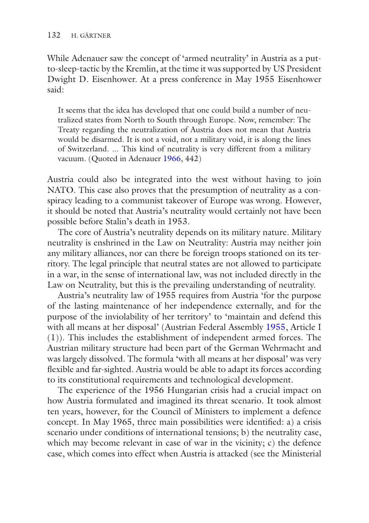While Adenauer saw the concept of 'armed neutrality' in Austria as a putto-sleep-tactic by the Kremlin, at the time it was supported by US President Dwight D. Eisenhower. At a press conference in May 1955 Eisenhower said:

It seems that the idea has developed that one could build a number of neutralized states from North to South through Europe. Now, remember: The Treaty regarding the neutralization of Austria does not mean that Austria would be disarmed. It is not a void, not a military void, it is along the lines of Switzerland. ... This kind of neutrality is very different from a military vacuum. (Quoted in Adenauer [1966,](#page-20-0) 442)

Austria could also be integrated into the west without having to join NATO. This case also proves that the presumption of neutrality as a conspiracy leading to a communist takeover of Europe was wrong. However, it should be noted that Austria's neutrality would certainly not have been possible before Stalin's death in 1953.

The core of Austria's neutrality depends on its military nature. Military neutrality is enshrined in the Law on Neutrality: Austria may neither join any military alliances, nor can there be foreign troops stationed on its territory. The legal principle that neutral states are not allowed to participate in a war, in the sense of international law, was not included directly in the Law on Neutrality, but this is the prevailing understanding of neutrality.

Austria's neutrality law of 1955 requires from Austria 'for the purpose of the lasting maintenance of her independence externally, and for the purpose of the inviolability of her territory' to 'maintain and defend this with all means at her disposal' (Austrian Federal Assembly [1955,](#page-20-2) Article I (1)). This includes the establishment of independent armed forces. The Austrian military structure had been part of the German Wehrmacht and was largely dissolved. The formula 'with all means at her disposal' was very flexible and far-sighted. Austria would be able to adapt its forces according to its constitutional requirements and technological development.

The experience of the 1956 Hungarian crisis had a crucial impact on how Austria formulated and imagined its threat scenario. It took almost ten years, however, for the Council of Ministers to implement a defence concept. In May 1965, three main possibilities were identified: a) a crisis scenario under conditions of international tensions; b) the neutrality case, which may become relevant in case of war in the vicinity; c) the defence case, which comes into effect when Austria is attacked (see the Ministerial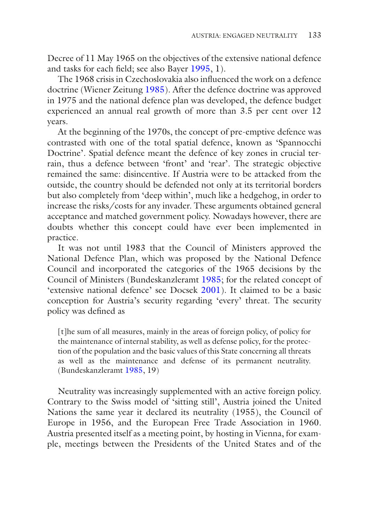Decree of 11 May 1965 on the objectives of the extensive national defence and tasks for each field; see also Bayer [1995](#page-20-3), 1).

The 1968 crisis in Czechoslovakia also influenced the work on a defence doctrine (Wiener Zeitung [1985](#page-20-4)). After the defence doctrine was approved in 1975 and the national defence plan was developed, the defence budget experienced an annual real growth of more than 3.5 per cent over 12 years.

At the beginning of the 1970s, the concept of pre-emptive defence was contrasted with one of the total spatial defence, known as 'Spannocchi Doctrine'. Spatial defence meant the defence of key zones in crucial terrain, thus a defence between 'front' and 'rear'. The strategic objective remained the same: disincentive. If Austria were to be attacked from the outside, the country should be defended not only at its territorial borders but also completely from 'deep within', much like a hedgehog, in order to increase the risks/costs for any invader. These arguments obtained general acceptance and matched government policy. Nowadays however, there are doubts whether this concept could have ever been implemented in practice.

It was not until 1983 that the Council of Ministers approved the National Defence Plan, which was proposed by the National Defence Council and incorporated the categories of the 1965 decisions by the Council of Ministers (Bundeskanzleramt [1985;](#page-20-5) for the related concept of 'extensive national defence' see Docsek [2001](#page-20-6)). It claimed to be a basic conception for Austria's security regarding 'every' threat. The security policy was defined as

[t]he sum of all measures, mainly in the areas of foreign policy, of policy for the maintenance of internal stability, as well as defense policy, for the protection of the population and the basic values of this State concerning all threats as well as the maintenance and defense of its permanent neutrality. (Bundeskanzleramt [1985,](#page-20-5) 19)

Neutrality was increasingly supplemented with an active foreign policy. Contrary to the Swiss model of 'sitting still', Austria joined the United Nations the same year it declared its neutrality (1955), the Council of Europe in 1956, and the European Free Trade Association in 1960. Austria presented itself as a meeting point, by hosting in Vienna, for example, meetings between the Presidents of the United States and of the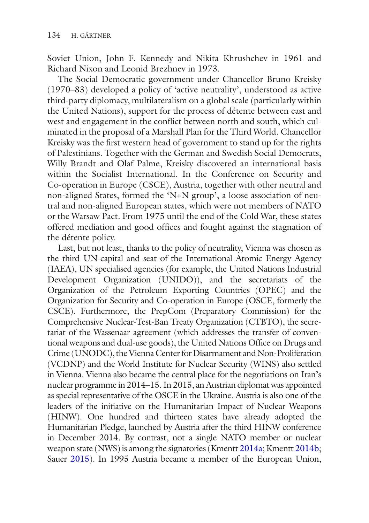Soviet Union, John F. Kennedy and Nikita Khrushchev in 1961 and Richard Nixon and Leonid Brezhnev in 1973.

The Social Democratic government under Chancellor Bruno Kreisky (1970–83) developed a policy of 'active neutrality', understood as active third-party diplomacy, multilateralism on a global scale (particularly within the United Nations), support for the process of détente between east and west and engagement in the conflict between north and south, which culminated in the proposal of a Marshall Plan for the Third World. Chancellor Kreisky was the first western head of government to stand up for the rights of Palestinians. Together with the German and Swedish Social Democrats, Willy Brandt and Olaf Palme, Kreisky discovered an international basis within the Socialist International. In the Conference on Security and Co-operation in Europe (CSCE), Austria, together with other neutral and non-aligned States, formed the 'N+N group', a loose association of neutral and non-aligned European states, which were not members of NATO or the Warsaw Pact. From 1975 until the end of the Cold War, these states offered mediation and good offices and fought against the stagnation of the détente policy.

Last, but not least, thanks to the policy of neutrality, Vienna was chosen as the third UN-capital and seat of the International Atomic Energy Agency (IAEA), UN specialised agencies (for example, the United Nations Industrial Development Organization (UNIDO)), and the secretariats of the Organization of the Petroleum Exporting Countries (OPEC) and the Organization for Security and Co-operation in Europe (OSCE, formerly the CSCE). Furthermore, the PrepCom (Preparatory Commission) for the Comprehensive Nuclear-Test-Ban Treaty Organization (CTBTO), the secretariat of the Wassenaar agreement (which addresses the transfer of conventional weapons and dual-use goods), the United Nations Office on Drugs and Crime (UNODC), the Vienna Center for Disarmament and Non-Proliferation (VCDNP) and the World Institute for Nuclear Security (WINS) also settled in Vienna. Vienna also became the central place for the negotiations on Iran's nuclear programme in 2014–15. In 2015, an Austrian diplomat was appointed as special representative of the OSCE in the Ukraine. Austria is also one of the leaders of the initiative on the Humanitarian Impact of Nuclear Weapons (HINW). One hundred and thirteen states have already adopted the Humanitarian Pledge, launched by Austria after the third HINW conference in December 2014. By contrast, not a single NATO member or nuclear weapon state (NWS) is among the signatories (Kmentt [2014a](#page-20-7); Kmentt [2014b;](#page-20-8) Sauer [2015\)](#page-20-9). In 1995 Austria became a member of the European Union,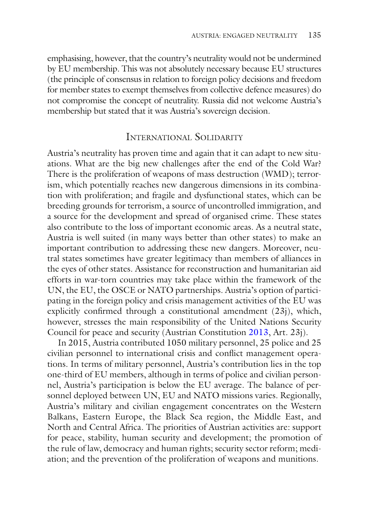emphasising, however, that the country's neutrality would not be undermined by EU membership. This was not absolutely necessary because EU structures (the principle of consensus in relation to foreign policy decisions and freedom for member states to exempt themselves from collective defence measures) do not compromise the concept of neutrality. Russia did not welcome Austria's membership but stated that it was Austria's sovereign decision.

#### International Solidarity

Austria's neutrality has proven time and again that it can adapt to new situations. What are the big new challenges after the end of the Cold War? There is the proliferation of weapons of mass destruction (WMD); terrorism, which potentially reaches new dangerous dimensions in its combination with proliferation; and fragile and dysfunctional states, which can be breeding grounds for terrorism, a source of uncontrolled immigration, and a source for the development and spread of organised crime. These states also contribute to the loss of important economic areas. As a neutral state, Austria is well suited (in many ways better than other states) to make an important contribution to addressing these new dangers. Moreover, neutral states sometimes have greater legitimacy than members of alliances in the eyes of other states. Assistance for reconstruction and humanitarian aid efforts in war-torn countries may take place within the framework of the UN, the EU, the OSCE or NATO partnerships. Austria's option of participating in the foreign policy and crisis management activities of the EU was explicitly confirmed through a constitutional amendment (23j), which, however, stresses the main responsibility of the United Nations Security Council for peace and security (Austrian Constitution [2013](#page-20-10), Art. 23j).

In 2015, Austria contributed 1050 military personnel, 25 police and 25 civilian personnel to international crisis and conflict management operations. In terms of military personnel, Austria's contribution lies in the top one-third of EU members, although in terms of police and civilian personnel, Austria's participation is below the EU average. The balance of personnel deployed between UN, EU and NATO missions varies. Regionally, Austria's military and civilian engagement concentrates on the Western Balkans, Eastern Europe, the Black Sea region, the Middle East, and North and Central Africa. The priorities of Austrian activities are: support for peace, stability, human security and development; the promotion of the rule of law, democracy and human rights; security sector reform; mediation; and the prevention of the proliferation of weapons and munitions.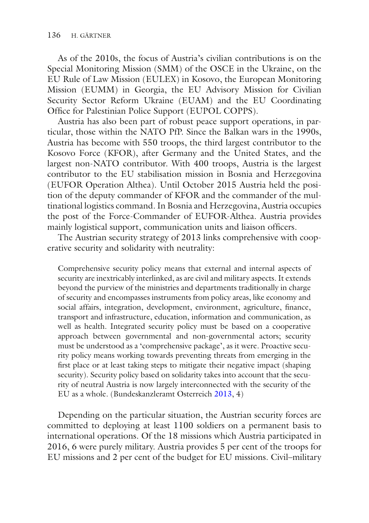As of the 2010s, the focus of Austria's civilian contributions is on the Special Monitoring Mission (SMM) of the OSCE in the Ukraine, on the EU Rule of Law Mission (EULEX) in Kosovo, the European Monitoring Mission (EUMM) in Georgia, the EU Advisory Mission for Civilian Security Sector Reform Ukraine (EUAM) and the EU Coordinating Office for Palestinian Police Support (EUPOL COPPS).

Austria has also been part of robust peace support operations, in particular, those within the NATO PfP. Since the Balkan wars in the 1990s, Austria has become with 550 troops, the third largest contributor to the Kosovo Force (KFOR), after Germany and the United States, and the largest non-NATO contributor. With 400 troops, Austria is the largest contributor to the EU stabilisation mission in Bosnia and Herzegovina (EUFOR Operation Althea). Until October 2015 Austria held the position of the deputy commander of KFOR and the commander of the multinational logistics command. In Bosnia and Herzegovina, Austria occupies the post of the Force-Commander of EUFOR-Althea. Austria provides mainly logistical support, communication units and liaison officers.

The Austrian security strategy of 2013 links comprehensive with cooperative security and solidarity with neutrality:

Comprehensive security policy means that external and internal aspects of security are inextricably interlinked, as are civil and military aspects. It extends beyond the purview of the ministries and departments traditionally in charge of security and encompasses instruments from policy areas, like economy and social affairs, integration, development, environment, agriculture, finance, transport and infrastructure, education, information and communication, as well as health. Integrated security policy must be based on a cooperative approach between governmental and non-governmental actors; security must be understood as a 'comprehensive package', as it were. Proactive security policy means working towards preventing threats from emerging in the first place or at least taking steps to mitigate their negative impact (shaping security). Security policy based on solidarity takes into account that the security of neutral Austria is now largely interconnected with the security of the EU as a whole. (Bundeskanzleramt Osterreich [2013,](#page-20-11) 4)

Depending on the particular situation, the Austrian security forces are committed to deploying at least 1100 soldiers on a permanent basis to international operations. Of the 18 missions which Austria participated in 2016, 6 were purely military. Austria provides 5 per cent of the troops for EU missions and 2 per cent of the budget for EU missions. Civil–military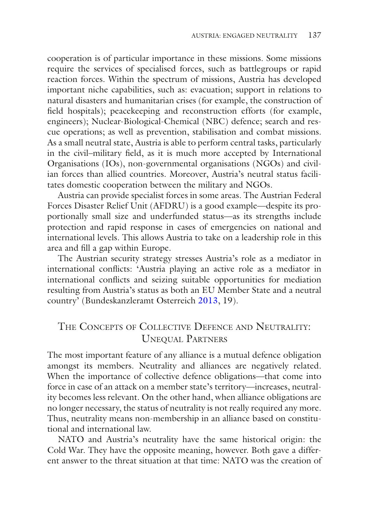cooperation is of particular importance in these missions. Some missions require the services of specialised forces, such as battlegroups or rapid reaction forces. Within the spectrum of missions, Austria has developed important niche capabilities, such as: evacuation; support in relations to natural disasters and humanitarian crises (for example, the construction of field hospitals); peacekeeping and reconstruction efforts (for example, engineers); Nuclear-Biological-Chemical (NBC) defence; search and rescue operations; as well as prevention, stabilisation and combat missions. As a small neutral state, Austria is able to perform central tasks, particularly in the civil–military field, as it is much more accepted by International Organisations (IOs), non-governmental organisations (NGOs) and civilian forces than allied countries. Moreover, Austria's neutral status facilitates domestic cooperation between the military and NGOs.

Austria can provide specialist forces in some areas. The Austrian Federal Forces Disaster Relief Unit (AFDRU) is a good example—despite its proportionally small size and underfunded status—as its strengths include protection and rapid response in cases of emergencies on national and international levels. This allows Austria to take on a leadership role in this area and fill a gap within Europe.

The Austrian security strategy stresses Austria's role as a mediator in international conflicts: 'Austria playing an active role as a mediator in international conflicts and seizing suitable opportunities for mediation resulting from Austria's status as both an EU Member State and a neutral country' (Bundeskanzleramt Osterreich [2013,](#page-20-11) 19).

### The Concepts of Collective Defence and Neutrality: Unequal Partners

The most important feature of any alliance is a mutual defence obligation amongst its members. Neutrality and alliances are negatively related. When the importance of collective defence obligations—that come into force in case of an attack on a member state's territory—increases, neutrality becomes less relevant. On the other hand, when alliance obligations are no longer necessary, the status of neutrality is not really required any more. Thus, neutrality means non-membership in an alliance based on constitutional and international law.

NATO and Austria's neutrality have the same historical origin: the Cold War. They have the opposite meaning, however. Both gave a different answer to the threat situation at that time: NATO was the creation of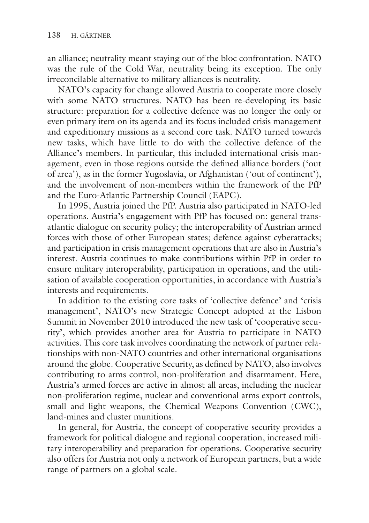an alliance; neutrality meant staying out of the bloc confrontation. NATO was the rule of the Cold War, neutrality being its exception. The only irreconcilable alternative to military alliances is neutrality.

NATO's capacity for change allowed Austria to cooperate more closely with some NATO structures. NATO has been re-developing its basic structure: preparation for a collective defence was no longer the only or even primary item on its agenda and its focus included crisis management and expeditionary missions as a second core task. NATO turned towards new tasks, which have little to do with the collective defence of the Alliance's members. In particular, this included international crisis management, even in those regions outside the defined alliance borders ('out of area'), as in the former Yugoslavia, or Afghanistan ('out of continent'), and the involvement of non-members within the framework of the PfP and the Euro-Atlantic Partnership Council (EAPC).

In 1995, Austria joined the PfP. Austria also participated in NATO-led operations. Austria's engagement with PfP has focused on: general transatlantic dialogue on security policy; the interoperability of Austrian armed forces with those of other European states; defence against cyberattacks; and participation in crisis management operations that are also in Austria's interest. Austria continues to make contributions within PfP in order to ensure military interoperability, participation in operations, and the utilisation of available cooperation opportunities, in accordance with Austria's interests and requirements.

In addition to the existing core tasks of 'collective defence' and 'crisis management', NATO's new Strategic Concept adopted at the Lisbon Summit in November 2010 introduced the new task of 'cooperative security', which provides another area for Austria to participate in NATO activities. This core task involves coordinating the network of partner relationships with non-NATO countries and other international organisations around the globe. Cooperative Security, as defined by NATO, also involves contributing to arms control, non-proliferation and disarmament. Here, Austria's armed forces are active in almost all areas, including the nuclear non-proliferation regime, nuclear and conventional arms export controls, small and light weapons, the Chemical Weapons Convention (CWC), land-mines and cluster munitions.

In general, for Austria, the concept of cooperative security provides a framework for political dialogue and regional cooperation, increased military interoperability and preparation for operations. Cooperative security also offers for Austria not only a network of European partners, but a wide range of partners on a global scale.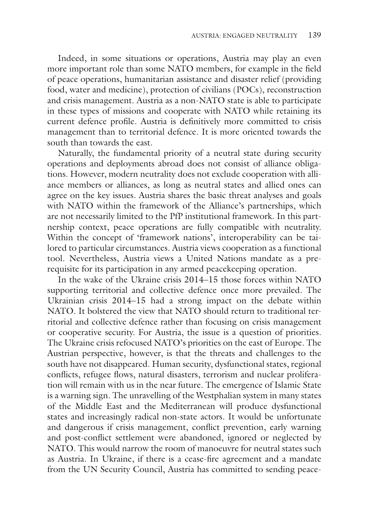Indeed, in some situations or operations, Austria may play an even more important role than some NATO members, for example in the field of peace operations, humanitarian assistance and disaster relief (providing food, water and medicine), protection of civilians (POCs), reconstruction and crisis management. Austria as a non-NATO state is able to participate in these types of missions and cooperate with NATO while retaining its current defence profile. Austria is definitively more committed to crisis management than to territorial defence. It is more oriented towards the south than towards the east.

Naturally, the fundamental priority of a neutral state during security operations and deployments abroad does not consist of alliance obligations. However, modern neutrality does not exclude cooperation with alliance members or alliances, as long as neutral states and allied ones can agree on the key issues. Austria shares the basic threat analyses and goals with NATO within the framework of the Alliance's partnerships, which are not necessarily limited to the PfP institutional framework. In this partnership context, peace operations are fully compatible with neutrality. Within the concept of 'framework nations', interoperability can be tailored to particular circumstances. Austria views cooperation as a functional tool. Nevertheless, Austria views a United Nations mandate as a prerequisite for its participation in any armed peacekeeping operation.

In the wake of the Ukraine crisis 2014–15 those forces within NATO supporting territorial and collective defence once more prevailed. The Ukrainian crisis 2014–15 had a strong impact on the debate within NATO. It bolstered the view that NATO should return to traditional territorial and collective defence rather than focusing on crisis management or cooperative security. For Austria, the issue is a question of priorities. The Ukraine crisis refocused NATO's priorities on the east of Europe. The Austrian perspective, however, is that the threats and challenges to the south have not disappeared. Human security, dysfunctional states, regional conflicts, refugee flows, natural disasters, terrorism and nuclear proliferation will remain with us in the near future. The emergence of Islamic State is a warning sign. The unravelling of the Westphalian system in many states of the Middle East and the Mediterranean will produce dysfunctional states and increasingly radical non-state actors. It would be unfortunate and dangerous if crisis management, conflict prevention, early warning and post-conflict settlement were abandoned, ignored or neglected by NATO. This would narrow the room of manoeuvre for neutral states such as Austria. In Ukraine, if there is a cease-fire agreement and a mandate from the UN Security Council, Austria has committed to sending peace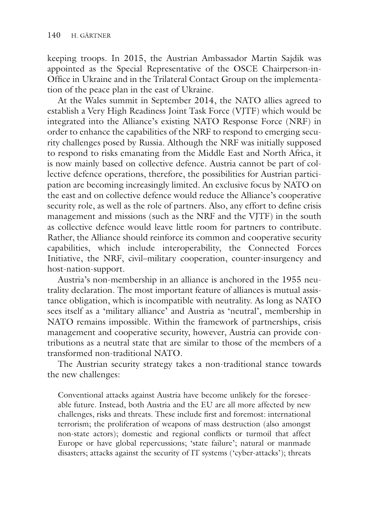keeping troops. In 2015, the Austrian Ambassador Martin Sajdik was appointed as the Special Representative of the OSCE Chairperson-in-Office in Ukraine and in the Trilateral Contact Group on the implementation of the peace plan in the east of Ukraine.

At the Wales summit in September 2014, the NATO allies agreed to establish a Very High Readiness Joint Task Force (VJTF) which would be integrated into the Alliance's existing NATO Response Force (NRF) in order to enhance the capabilities of the NRF to respond to emerging security challenges posed by Russia. Although the NRF was initially supposed to respond to risks emanating from the Middle East and North Africa, it is now mainly based on collective defence. Austria cannot be part of collective defence operations, therefore, the possibilities for Austrian participation are becoming increasingly limited. An exclusive focus by NATO on the east and on collective defence would reduce the Alliance's cooperative security role, as well as the role of partners. Also, any effort to define crisis management and missions (such as the NRF and the VJTF) in the south as collective defence would leave little room for partners to contribute. Rather, the Alliance should reinforce its common and cooperative security capabilities, which include interoperability, the Connected Forces Initiative, the NRF, civil–military cooperation, counter-insurgency and host-nation-support.

Austria's non-membership in an alliance is anchored in the 1955 neutrality declaration. The most important feature of alliances is mutual assistance obligation, which is incompatible with neutrality. As long as NATO sees itself as a 'military alliance' and Austria as 'neutral', membership in NATO remains impossible. Within the framework of partnerships, crisis management and cooperative security, however, Austria can provide contributions as a neutral state that are similar to those of the members of a transformed non-traditional NATO.

The Austrian security strategy takes a non-traditional stance towards the new challenges:

Conventional attacks against Austria have become unlikely for the foreseeable future. Instead, both Austria and the EU are all more affected by new challenges, risks and threats. These include first and foremost: international terrorism; the proliferation of weapons of mass destruction (also amongst non-state actors); domestic and regional conflicts or turmoil that affect Europe or have global repercussions; 'state failure'; natural or manmade disasters; attacks against the security of IT systems ('cyber-attacks'); threats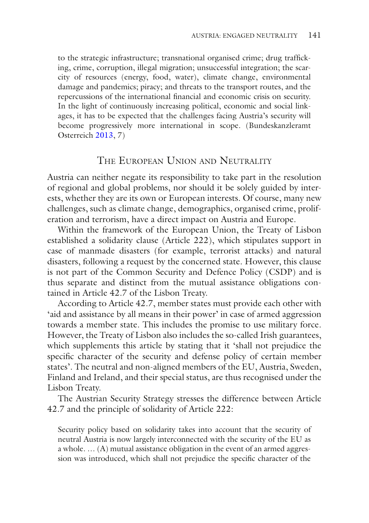to the strategic infrastructure; transnational organised crime; drug trafficking, crime, corruption, illegal migration; unsuccessful integration; the scarcity of resources (energy, food, water), climate change, environmental damage and pandemics; piracy; and threats to the transport routes, and the repercussions of the international financial and economic crisis on security. In the light of continuously increasing political, economic and social linkages, it has to be expected that the challenges facing Austria's security will become progressively more international in scope. (Bundeskanzleramt Osterreich [2013,](#page-20-11) 7)

#### The European Union and Neutrality

Austria can neither negate its responsibility to take part in the resolution of regional and global problems, nor should it be solely guided by interests, whether they are its own or European interests. Of course, many new challenges, such as climate change, demographics, organised crime, proliferation and terrorism, have a direct impact on Austria and Europe.

Within the framework of the European Union, the Treaty of Lisbon established a solidarity clause (Article 222), which stipulates support in case of manmade disasters (for example, terrorist attacks) and natural disasters, following a request by the concerned state. However, this clause is not part of the Common Security and Defence Policy (CSDP) and is thus separate and distinct from the mutual assistance obligations contained in Article 42.7 of the Lisbon Treaty.

According to Article 42.7, member states must provide each other with 'aid and assistance by all means in their power' in case of armed aggression towards a member state. This includes the promise to use military force. However, the Treaty of Lisbon also includes the so-called Irish guarantees, which supplements this article by stating that it 'shall not prejudice the specific character of the security and defense policy of certain member states'. The neutral and non-aligned members of the EU, Austria, Sweden, Finland and Ireland, and their special status, are thus recognised under the Lisbon Treaty.

The Austrian Security Strategy stresses the difference between Article 42.7 and the principle of solidarity of Article 222:

Security policy based on solidarity takes into account that the security of neutral Austria is now largely interconnected with the security of the EU as a whole. … (A) mutual assistance obligation in the event of an armed aggression was introduced, which shall not prejudice the specific character of the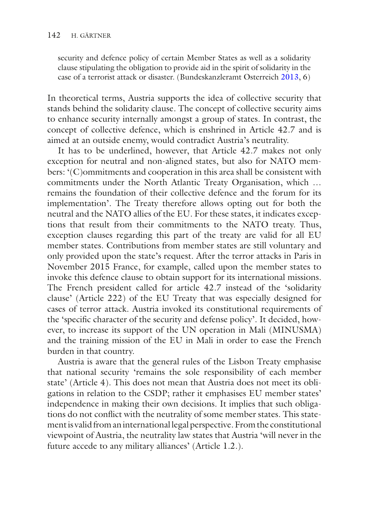security and defence policy of certain Member States as well as a solidarity clause stipulating the obligation to provide aid in the spirit of solidarity in the case of a terrorist attack or disaster. (Bundeskanzleramt Osterreich [2013,](#page-20-11) 6)

In theoretical terms, Austria supports the idea of collective security that stands behind the solidarity clause. The concept of collective security aims to enhance security internally amongst a group of states. In contrast, the concept of collective defence, which is enshrined in Article 42.7 and is aimed at an outside enemy, would contradict Austria's neutrality.

It has to be underlined, however, that Article 42.7 makes not only exception for neutral and non-aligned states, but also for NATO members: '(C)ommitments and cooperation in this area shall be consistent with commitments under the North Atlantic Treaty Organisation, which … remains the foundation of their collective defence and the forum for its implementation'. The Treaty therefore allows opting out for both the neutral and the NATO allies of the EU. For these states, it indicates exceptions that result from their commitments to the NATO treaty. Thus, exception clauses regarding this part of the treaty are valid for all EU member states. Contributions from member states are still voluntary and only provided upon the state's request. After the terror attacks in Paris in November 2015 France, for example, called upon the member states to invoke this defence clause to obtain support for its international missions. The French president called for article 42.7 instead of the 'solidarity clause' (Article 222) of the EU Treaty that was especially designed for cases of terror attack. Austria invoked its constitutional requirements of the 'specific character of the security and defense policy'. It decided, however, to increase its support of the UN operation in Mali (MINUSMA) and the training mission of the EU in Mali in order to ease the French burden in that country.

Austria is aware that the general rules of the Lisbon Treaty emphasise that national security 'remains the sole responsibility of each member state' (Article 4). This does not mean that Austria does not meet its obligations in relation to the CSDP; rather it emphasises EU member states' independence in making their own decisions. It implies that such obligations do not conflict with the neutrality of some member states. This statement is valid from an international legal perspective. From the constitutional viewpoint of Austria, the neutrality law states that Austria 'will never in the future accede to any military alliances' (Article 1.2.).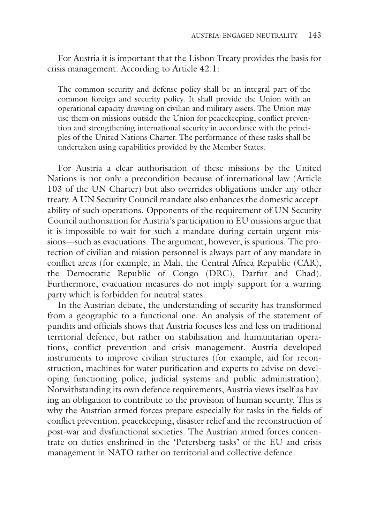For Austria it is important that the Lisbon Treaty provides the basis for crisis management. According to Article 42.1:

The common security and defense policy shall be an integral part of the common foreign and security policy. It shall provide the Union with an operational capacity drawing on civilian and military assets. The Union may use them on missions outside the Union for peacekeeping, conflict prevention and strengthening international security in accordance with the principles of the United Nations Charter. The performance of these tasks shall be undertaken using capabilities provided by the Member States.

For Austria a clear authorisation of these missions by the United Nations is not only a precondition because of international law (Article 103 of the UN Charter) but also overrides obligations under any other treaty. A UN Security Council mandate also enhances the domestic acceptability of such operations. Opponents of the requirement of UN Security Council authorisation for Austria's participation in EU missions argue that it is impossible to wait for such a mandate during certain urgent missions—such as evacuations. The argument, however, is spurious. The protection of civilian and mission personnel is always part of any mandate in conflict areas (for example, in Mali, the Central Africa Republic (CAR), the Democratic Republic of Congo (DRC), Darfur and Chad). Furthermore, evacuation measures do not imply support for a warring party which is forbidden for neutral states.

In the Austrian debate, the understanding of security has transformed from a geographic to a functional one. An analysis of the statement of pundits and officials shows that Austria focuses less and less on traditional territorial defence, but rather on stabilisation and humanitarian operations, conflict prevention and crisis management. Austria developed instruments to improve civilian structures (for example, aid for reconstruction, machines for water purification and experts to advise on developing functioning police, judicial systems and public administration). Notwithstanding its own defence requirements, Austria views itself as having an obligation to contribute to the provision of human security. This is why the Austrian armed forces prepare especially for tasks in the fields of conflict prevention, peacekeeping, disaster relief and the reconstruction of post-war and dysfunctional societies. The Austrian armed forces concentrate on duties enshrined in the 'Petersberg tasks' of the EU and crisis management in NATO rather on territorial and collective defence.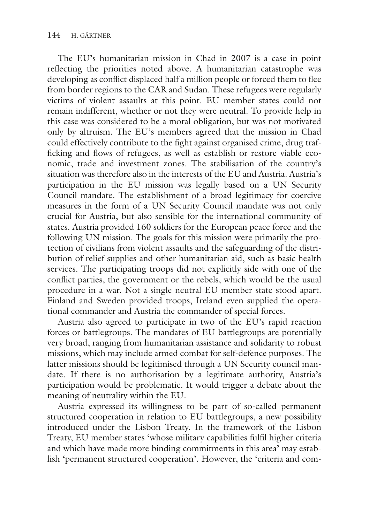The EU's humanitarian mission in Chad in 2007 is a case in point reflecting the priorities noted above. A humanitarian catastrophe was developing as conflict displaced half a million people or forced them to flee from border regions to the CAR and Sudan. These refugees were regularly victims of violent assaults at this point. EU member states could not remain indifferent, whether or not they were neutral. To provide help in this case was considered to be a moral obligation, but was not motivated only by altruism. The EU's members agreed that the mission in Chad could effectively contribute to the fight against organised crime, drug trafficking and flows of refugees, as well as establish or restore viable economic, trade and investment zones. The stabilisation of the country's situation was therefore also in the interests of the EU and Austria. Austria's participation in the EU mission was legally based on a UN Security Council mandate. The establishment of a broad legitimacy for coercive measures in the form of a UN Security Council mandate was not only crucial for Austria, but also sensible for the international community of states. Austria provided 160 soldiers for the European peace force and the following UN mission. The goals for this mission were primarily the protection of civilians from violent assaults and the safeguarding of the distribution of relief supplies and other humanitarian aid, such as basic health services. The participating troops did not explicitly side with one of the conflict parties, the government or the rebels, which would be the usual procedure in a war. Not a single neutral EU member state stood apart. Finland and Sweden provided troops, Ireland even supplied the operational commander and Austria the commander of special forces.

Austria also agreed to participate in two of the EU's rapid reaction forces or battlegroups. The mandates of EU battlegroups are potentially very broad, ranging from humanitarian assistance and solidarity to robust missions, which may include armed combat for self-defence purposes. The latter missions should be legitimised through a UN Security council mandate. If there is no authorisation by a legitimate authority, Austria's participation would be problematic. It would trigger a debate about the meaning of neutrality within the EU.

Austria expressed its willingness to be part of so-called permanent structured cooperation in relation to EU battlegroups, a new possibility introduced under the Lisbon Treaty. In the framework of the Lisbon Treaty, EU member states 'whose military capabilities fulfil higher criteria and which have made more binding commitments in this area' may establish 'permanent structured cooperation'. However, the 'criteria and com-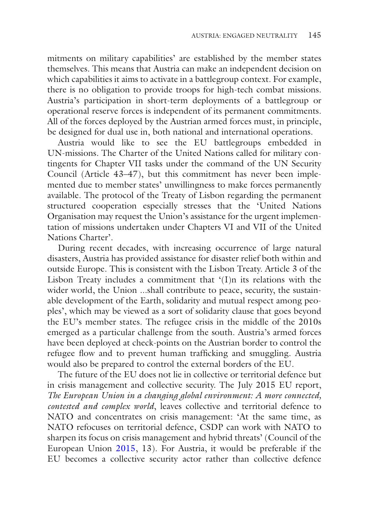mitments on military capabilities' are established by the member states themselves. This means that Austria can make an independent decision on which capabilities it aims to activate in a battlegroup context. For example, there is no obligation to provide troops for high-tech combat missions. Austria's participation in short-term deployments of a battlegroup or operational reserve forces is independent of its permanent commitments. All of the forces deployed by the Austrian armed forces must, in principle, be designed for dual use in, both national and international operations.

Austria would like to see the EU battlegroups embedded in UN-missions. The Charter of the United Nations called for military contingents for Chapter VII tasks under the command of the UN Security Council (Article 43–47), but this commitment has never been implemented due to member states' unwillingness to make forces permanently available. The protocol of the Treaty of Lisbon regarding the permanent structured cooperation especially stresses that the 'United Nations Organisation may request the Union's assistance for the urgent implementation of missions undertaken under Chapters VI and VII of the United Nations Charter'.

During recent decades, with increasing occurrence of large natural disasters, Austria has provided assistance for disaster relief both within and outside Europe. This is consistent with the Lisbon Treaty. Article 3 of the Lisbon Treaty includes a commitment that '(I)n its relations with the wider world, the Union ...shall contribute to peace, security, the sustainable development of the Earth, solidarity and mutual respect among peoples', which may be viewed as a sort of solidarity clause that goes beyond the EU's member states. The refugee crisis in the middle of the 2010s emerged as a particular challenge from the south. Austria's armed forces have been deployed at check-points on the Austrian border to control the refugee flow and to prevent human trafficking and smuggling. Austria would also be prepared to control the external borders of the EU.

The future of the EU does not lie in collective or territorial defence but in crisis management and collective security. The July 2015 EU report, *The European Union in a changing global environment: A more connected, contested and complex world*, leaves collective and territorial defence to NATO and concentrates on crisis management: 'At the same time, as NATO refocuses on territorial defence, CSDP can work with NATO to sharpen its focus on crisis management and hybrid threats' (Council of the European Union [2015](#page-20-12), 13). For Austria, it would be preferable if the EU becomes a collective security actor rather than collective defence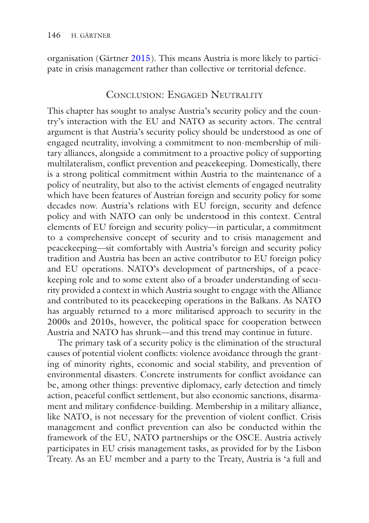organisation (Gärtner [2015](#page-20-13)). This means Austria is more likely to participate in crisis management rather than collective or territorial defence.

## Conclusion: Engaged Neutrality

This chapter has sought to analyse Austria's security policy and the country's interaction with the EU and NATO as security actors. The central argument is that Austria's security policy should be understood as one of engaged neutrality, involving a commitment to non-membership of military alliances, alongside a commitment to a proactive policy of supporting multilateralism, conflict prevention and peacekeeping. Domestically, there is a strong political commitment within Austria to the maintenance of a policy of neutrality, but also to the activist elements of engaged neutrality which have been features of Austrian foreign and security policy for some decades now. Austria's relations with EU foreign, security and defence policy and with NATO can only be understood in this context. Central elements of EU foreign and security policy—in particular, a commitment to a comprehensive concept of security and to crisis management and peacekeeping—sit comfortably with Austria's foreign and security policy tradition and Austria has been an active contributor to EU foreign policy and EU operations. NATO's development of partnerships, of a peacekeeping role and to some extent also of a broader understanding of security provided a context in which Austria sought to engage with the Alliance and contributed to its peacekeeping operations in the Balkans. As NATO has arguably returned to a more militarised approach to security in the 2000s and 2010s, however, the political space for cooperation between Austria and NATO has shrunk—and this trend may continue in future.

The primary task of a security policy is the elimination of the structural causes of potential violent conflicts: violence avoidance through the granting of minority rights, economic and social stability, and prevention of environmental disasters. Concrete instruments for conflict avoidance can be, among other things: preventive diplomacy, early detection and timely action, peaceful conflict settlement, but also economic sanctions, disarmament and military confidence-building. Membership in a military alliance, like NATO, is not necessary for the prevention of violent conflict. Crisis management and conflict prevention can also be conducted within the framework of the EU, NATO partnerships or the OSCE. Austria actively participates in EU crisis management tasks, as provided for by the Lisbon Treaty. As an EU member and a party to the Treaty, Austria is 'a full and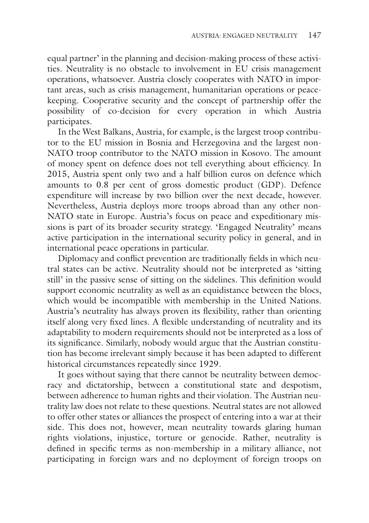equal partner' in the planning and decision-making process of these activities. Neutrality is no obstacle to involvement in EU crisis management operations, whatsoever. Austria closely cooperates with NATO in important areas, such as crisis management, humanitarian operations or peacekeeping. Cooperative security and the concept of partnership offer the possibility of co-decision for every operation in which Austria participates.

In the West Balkans, Austria, for example, is the largest troop contributor to the EU mission in Bosnia and Herzegovina and the largest non-NATO troop contributor to the NATO mission in Kosovo. The amount of money spent on defence does not tell everything about efficiency. In 2015, Austria spent only two and a half billion euros on defence which amounts to 0.8 per cent of gross domestic product (GDP). Defence expenditure will increase by two billion over the next decade, however. Nevertheless, Austria deploys more troops abroad than any other non-NATO state in Europe. Austria's focus on peace and expeditionary missions is part of its broader security strategy. 'Engaged Neutrality' means active participation in the international security policy in general, and in international peace operations in particular.

Diplomacy and conflict prevention are traditionally fields in which neutral states can be active. Neutrality should not be interpreted as 'sitting still' in the passive sense of sitting on the sidelines. This definition would support economic neutrality as well as an equidistance between the blocs, which would be incompatible with membership in the United Nations. Austria's neutrality has always proven its flexibility, rather than orienting itself along very fixed lines. A flexible understanding of neutrality and its adaptability to modern requirements should not be interpreted as a loss of its significance. Similarly, nobody would argue that the Austrian constitution has become irrelevant simply because it has been adapted to different historical circumstances repeatedly since 1929.

It goes without saying that there cannot be neutrality between democracy and dictatorship, between a constitutional state and despotism, between adherence to human rights and their violation. The Austrian neutrality law does not relate to these questions. Neutral states are not allowed to offer other states or alliances the prospect of entering into a war at their side. This does not, however, mean neutrality towards glaring human rights violations, injustice, torture or genocide. Rather, neutrality is defined in specific terms as non-membership in a military alliance, not participating in foreign wars and no deployment of foreign troops on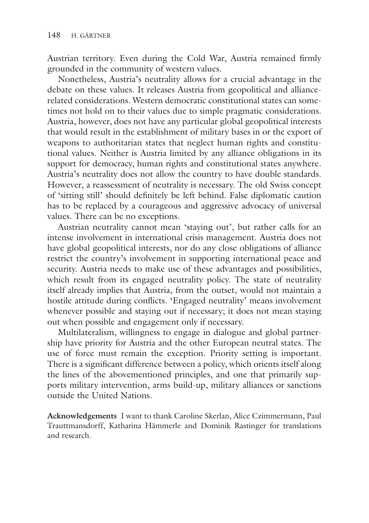Austrian territory. Even during the Cold War, Austria remained firmly grounded in the community of western values.

Nonetheless, Austria's neutrality allows for a crucial advantage in the debate on these values. It releases Austria from geopolitical and alliancerelated considerations. Western democratic constitutional states can sometimes not hold on to their values due to simple pragmatic considerations. Austria, however, does not have any particular global geopolitical interests that would result in the establishment of military bases in or the export of weapons to authoritarian states that neglect human rights and constitutional values. Neither is Austria limited by any alliance obligations in its support for democracy, human rights and constitutional states anywhere. Austria's neutrality does not allow the country to have double standards. However, a reassessment of neutrality is necessary. The old Swiss concept of 'sitting still' should definitely be left behind. False diplomatic caution has to be replaced by a courageous and aggressive advocacy of universal values. There can be no exceptions.

Austrian neutrality cannot mean 'staying out', but rather calls for an intense involvement in international crisis management. Austria does not have global geopolitical interests, nor do any close obligations of alliance restrict the country's involvement in supporting international peace and security. Austria needs to make use of these advantages and possibilities, which result from its engaged neutrality policy. The state of neutrality itself already implies that Austria, from the outset, would not maintain a hostile attitude during conflicts. 'Engaged neutrality' means involvement whenever possible and staying out if necessary; it does not mean staying out when possible and engagement only if necessary.

Multilateralism, willingness to engage in dialogue and global partnership have priority for Austria and the other European neutral states. The use of force must remain the exception. Priority setting is important. There is a significant difference between a policy, which orients itself along the lines of the abovementioned principles, and one that primarily supports military intervention, arms build-up, military alliances or sanctions outside the United Nations.

**Acknowledgements** I want to thank Caroline Skerlan, Alice Czimmermann, Paul Trauttmansdorff, Katharina Hämmerle and Dominik Rastinger for translations and research.